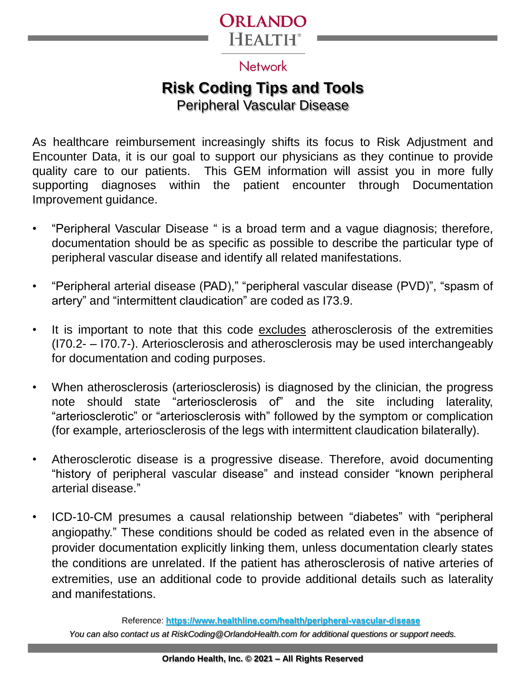

#### **Network**

# **Risk Coding Tips and Tools**

Peripheral Vascular Disease

As healthcare reimbursement increasingly shifts its focus to Risk Adjustment and Encounter Data, it is our goal to support our physicians as they continue to provide quality care to our patients. This GEM information will assist you in more fully supporting diagnoses within the patient encounter through Documentation Improvement guidance.

- "Peripheral Vascular Disease " is a broad term and a vague diagnosis; therefore, documentation should be as specific as possible to describe the particular type of peripheral vascular disease and identify all related manifestations.
- "Peripheral arterial disease (PAD)," "peripheral vascular disease (PVD)", "spasm of artery" and "intermittent claudication" are coded as I73.9.
- It is important to note that this code excludes atherosclerosis of the extremities (I70.2- – I70.7-). Arteriosclerosis and atherosclerosis may be used interchangeably for documentation and coding purposes.
- When atherosclerosis (arteriosclerosis) is diagnosed by the clinician, the progress note should state "arteriosclerosis of" and the site including laterality, "arteriosclerotic" or "arteriosclerosis with" followed by the symptom or complication (for example, arteriosclerosis of the legs with intermittent claudication bilaterally).
- Atherosclerotic disease is a progressive disease. Therefore, avoid documenting "history of peripheral vascular disease" and instead consider "known peripheral arterial disease."
- ICD-10-CM presumes a causal relationship between "diabetes" with "peripheral angiopathy." These conditions should be coded as related even in the absence of provider documentation explicitly linking them, unless documentation clearly states the conditions are unrelated. If the patient has atherosclerosis of native arteries of extremities, use an additional code to provide additional details such as laterality and manifestations.

*You can also contact us at RiskCoding@OrlandoHealth.com for additional questions or support needs.* Reference: **https://www.healthline.com/health/peripheral-vascular-disease**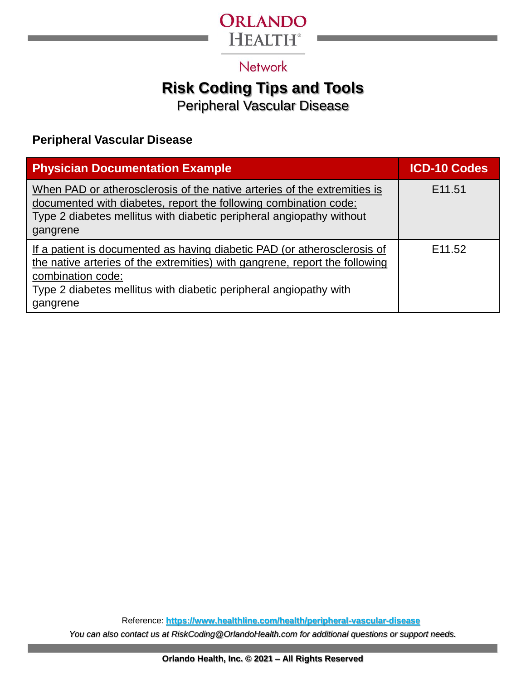

### **Network**

## **Risk Coding Tips and Tools**

Peripheral Vascular Disease

#### **Peripheral Vascular Disease**

| <b>Physician Documentation Example</b>                                                                                                                                                                                                                        | <b>ICD-10 Codes</b> |
|---------------------------------------------------------------------------------------------------------------------------------------------------------------------------------------------------------------------------------------------------------------|---------------------|
| When PAD or atherosclerosis of the native arteries of the extremities is<br>documented with diabetes, report the following combination code:<br>Type 2 diabetes mellitus with diabetic peripheral angiopathy without<br>gangrene                              | E <sub>11.51</sub>  |
| If a patient is documented as having diabetic PAD (or atherosclerosis of<br>the native arteries of the extremities) with gangrene, report the following<br>combination code:<br>Type 2 diabetes mellitus with diabetic peripheral angiopathy with<br>gangrene | E <sub>11.52</sub>  |